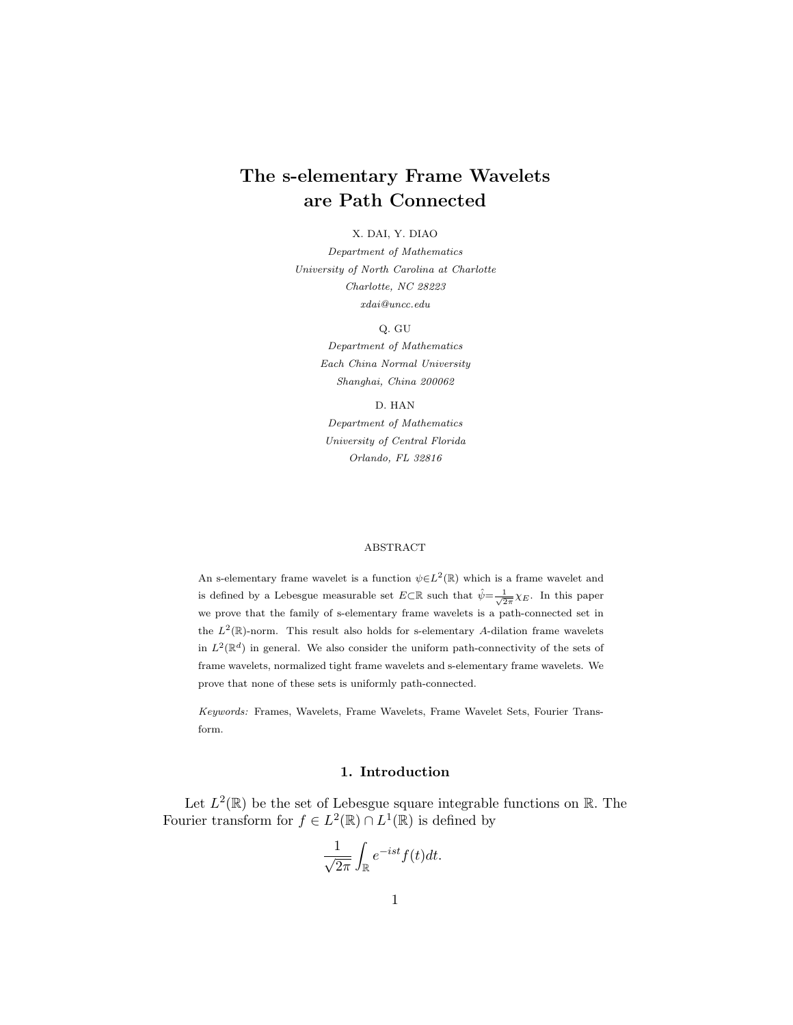# The s-elementary Frame Wavelets are Path Connected

#### X. DAI, Y. DIAO

Department of Mathematics University of North Carolina at Charlotte Charlotte, NC 28223 xdai@uncc.edu

Q. GU

Department of Mathematics Each China Normal University Shanghai, China 200062

D. HAN Department of Mathematics University of Central Florida Orlando, FL 32816

#### ABSTRACT

An s-elementary frame wavelet is a function  $\psi \in L^2(\mathbb{R})$  which is a frame wavelet and is defined by a Lebesgue measurable set  $E \subset \mathbb{R}$  such that  $\hat{\psi} = \frac{1}{\sqrt{2\pi}} \chi_E$ . In this paper we prove that the family of s-elementary frame wavelets is a path-connected set in the  $L^2(\mathbb{R})$ -norm. This result also holds for s-elementary A-dilation frame wavelets in  $L^2(\mathbb{R}^d)$  in general. We also consider the uniform path-connectivity of the sets of frame wavelets, normalized tight frame wavelets and s-elementary frame wavelets. We prove that none of these sets is uniformly path-connected.

Keywords: Frames, Wavelets, Frame Wavelets, Frame Wavelet Sets, Fourier Transform.

## 1. Introduction

Let  $L^2(\mathbb{R})$  be the set of Lebesgue square integrable functions on  $\mathbb{R}$ . The Fourier transform for  $f \in L^2(\mathbb{R}) \cap L^1(\mathbb{R})$  is defined by

$$
\frac{1}{\sqrt{2\pi}}\int_{\mathbb{R}}e^{-ist}f(t)dt.
$$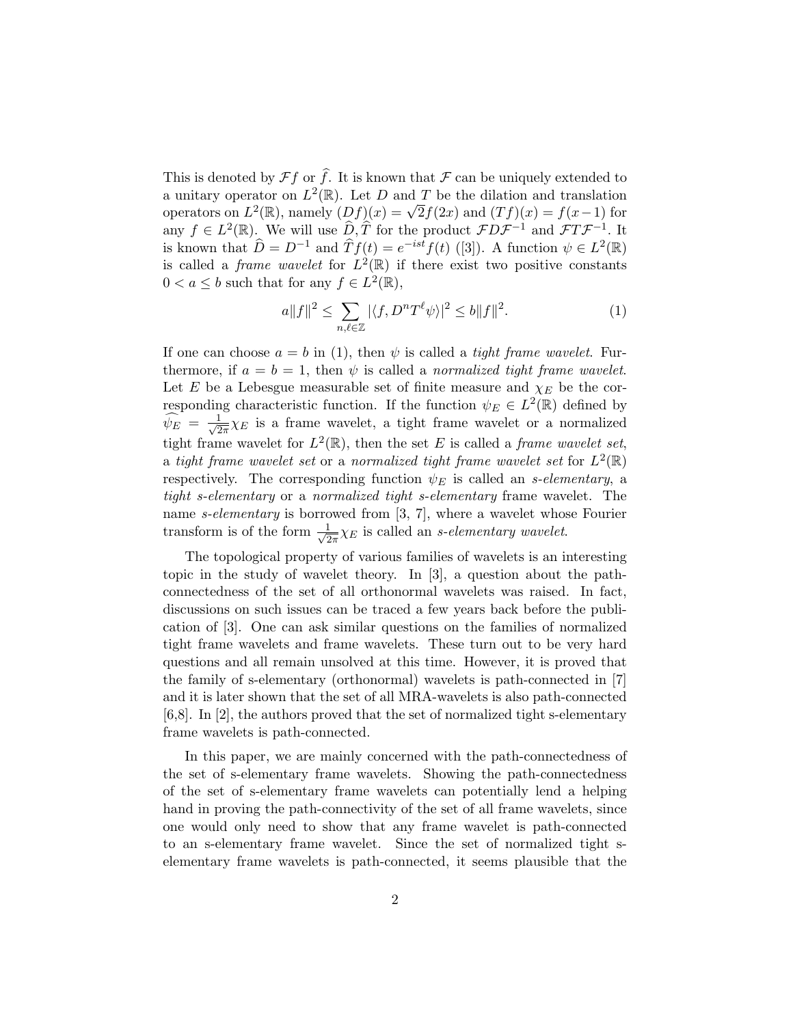This is denoted by  $\mathcal{F}f$  or  $\hat{f}$ . It is known that  $\mathcal F$  can be uniquely extended to a unitary operator on  $L^2(\mathbb{R})$ . Let D and T be the dilation and translation operators on  $L^2(\mathbb{R})$ , namely  $(Df)(x) = \sqrt{2}f(2x)$  and  $(Tf)(x) = f(x-1)$  for any  $f \in L^2(\mathbb{R})$ . We will use  $\widehat{D}, \widehat{T}$  for the product  $\mathcal{F}D\mathcal{F}^{-1}$  and  $\mathcal{F}T\mathcal{F}^{-1}$ . It is known that  $\hat{D} = D^{-1}$  and  $\hat{T}f(t) = e^{-ist}f(t)$  ([3]). A function  $\psi \in L^2(\mathbb{R})$ is called a *frame wavelet* for  $L^2(\mathbb{R})$  if there exist two positive constants  $0 < a \leq b$  such that for any  $f \in L^2(\mathbb{R}),$ 

$$
a||f||^2 \le \sum_{n,\ell \in \mathbb{Z}} |\langle f, D^n T^{\ell} \psi \rangle|^2 \le b||f||^2. \tag{1}
$$

If one can choose  $a = b$  in (1), then  $\psi$  is called a *tight frame wavelet*. Furthermore, if  $a = b = 1$ , then  $\psi$  is called a normalized tight frame wavelet. Let E be a Lebesgue measurable set of finite measure and  $\chi_E$  be the corresponding characteristic function. If the function  $\psi_E \in L^2(\mathbb{R})$  defined by  $\widehat{\psi_E} = \frac{1}{\sqrt{2}}$  $\frac{1}{2\pi}\chi_E$  is a frame wavelet, a tight frame wavelet or a normalized tight frame wavelet for  $L^2(\mathbb{R})$ , then the set E is called a *frame wavelet set*, a tight frame wavelet set or a normalized tight frame wavelet set for  $L^2(\mathbb{R})$ respectively. The corresponding function  $\psi_E$  is called an *s*-elementary, a tight s-elementary or a normalized tight s-elementary frame wavelet. The name *s*-elementary is borrowed from [3, 7], where a wavelet whose Fourier transform is of the form  $\frac{1}{\sqrt{2}}$  $\frac{1}{2\pi}\chi_E$  is called an *s*-elementary wavelet.

The topological property of various families of wavelets is an interesting topic in the study of wavelet theory. In [3], a question about the pathconnectedness of the set of all orthonormal wavelets was raised. In fact, discussions on such issues can be traced a few years back before the publication of [3]. One can ask similar questions on the families of normalized tight frame wavelets and frame wavelets. These turn out to be very hard questions and all remain unsolved at this time. However, it is proved that the family of s-elementary (orthonormal) wavelets is path-connected in [7] and it is later shown that the set of all MRA-wavelets is also path-connected [6,8]. In [2], the authors proved that the set of normalized tight s-elementary frame wavelets is path-connected.

In this paper, we are mainly concerned with the path-connectedness of the set of s-elementary frame wavelets. Showing the path-connectedness of the set of s-elementary frame wavelets can potentially lend a helping hand in proving the path-connectivity of the set of all frame wavelets, since one would only need to show that any frame wavelet is path-connected to an s-elementary frame wavelet. Since the set of normalized tight selementary frame wavelets is path-connected, it seems plausible that the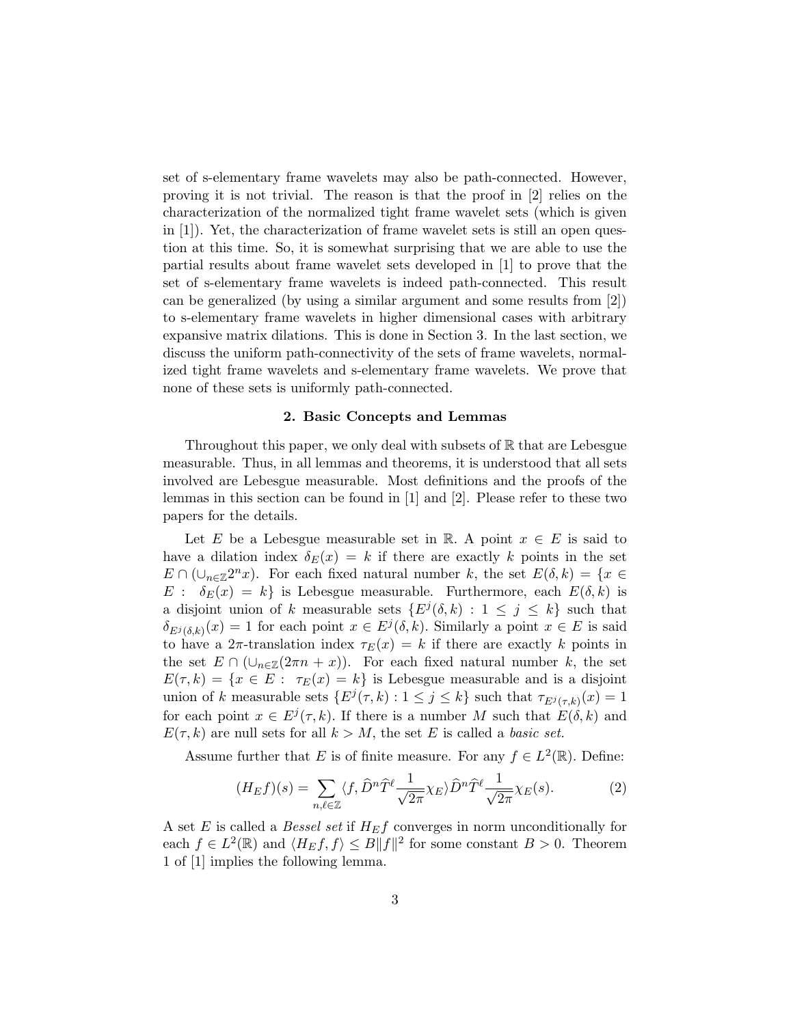set of s-elementary frame wavelets may also be path-connected. However, proving it is not trivial. The reason is that the proof in [2] relies on the characterization of the normalized tight frame wavelet sets (which is given in [1]). Yet, the characterization of frame wavelet sets is still an open question at this time. So, it is somewhat surprising that we are able to use the partial results about frame wavelet sets developed in [1] to prove that the set of s-elementary frame wavelets is indeed path-connected. This result can be generalized (by using a similar argument and some results from [2]) to s-elementary frame wavelets in higher dimensional cases with arbitrary expansive matrix dilations. This is done in Section 3. In the last section, we discuss the uniform path-connectivity of the sets of frame wavelets, normalized tight frame wavelets and s-elementary frame wavelets. We prove that none of these sets is uniformly path-connected.

#### 2. Basic Concepts and Lemmas

Throughout this paper, we only deal with subsets of  $\mathbb R$  that are Lebesgue measurable. Thus, in all lemmas and theorems, it is understood that all sets involved are Lebesgue measurable. Most definitions and the proofs of the lemmas in this section can be found in [1] and [2]. Please refer to these two papers for the details.

Let E be a Lebesgue measurable set in R. A point  $x \in E$  is said to have a dilation index  $\delta_E(x) = k$  if there are exactly k points in the set  $E \cap (\bigcup_{n \in \mathbb{Z}} 2^n x)$ . For each fixed natural number k, the set  $E(\delta, k) = \{x \in$  $E : \delta_E(x) = k$  is Lebesgue measurable. Furthermore, each  $E(\delta, k)$  is a disjoint union of k measurable sets  $\{E^j(\delta, k) : 1 \leq j \leq k\}$  such that  $\delta_{E^j(\delta,k)}(x) = 1$  for each point  $x \in E^j(\delta, k)$ . Similarly a point  $x \in E$  is said to have a  $2\pi$ -translation index  $\tau_E(x) = k$  if there are exactly k points in the set  $E \cap (\cup_{n \in \mathbb{Z}} (2\pi n + x))$ . For each fixed natural number k, the set  $E(\tau, k) = \{x \in E : \tau_E(x) = k\}$  is Lebesgue measurable and is a disjoint union of k measurable sets  $\{E^j(\tau, k) : 1 \le j \le k\}$  such that  $\tau_{E^j(\tau, k)}(x) = 1$ for each point  $x \in E^j(\tau, k)$ . If there is a number M such that  $E(\delta, k)$  and  $E(\tau, k)$  are null sets for all  $k > M$ , the set E is called a *basic set*.

Assume further that E is of finite measure. For any  $f \in L^2(\mathbb{R})$ . Define:

$$
(H_E f)(s) = \sum_{n,\ell \in \mathbb{Z}} \langle f, \widehat{D}^n \widehat{T}^\ell \frac{1}{\sqrt{2\pi}} \chi_E \rangle \widehat{D}^n \widehat{T}^\ell \frac{1}{\sqrt{2\pi}} \chi_E(s).
$$
 (2)

A set E is called a Bessel set if  $H_E f$  converges in norm unconditionally for each  $f \in L^2(\mathbb{R})$  and  $\langle H_E f, f \rangle \leq B \|f\|^2$  for some constant  $B > 0$ . Theorem 1 of [1] implies the following lemma.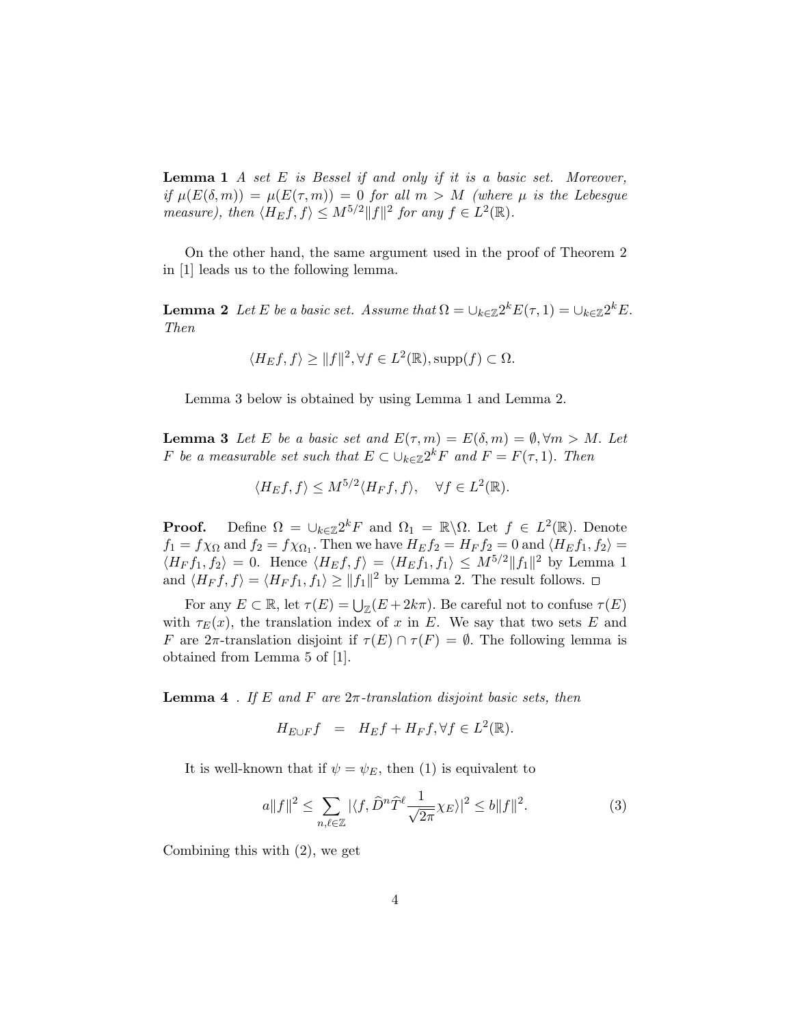**Lemma 1** A set  $E$  is Bessel if and only if it is a basic set. Moreover, if  $\mu(E(\delta,m)) = \mu(E(\tau,m)) = 0$  for all  $m > M$  (where  $\mu$  is the Lebesgue measure), then  $\langle H_E f, f \rangle \leq M^{5/2} ||f||^2$  for any  $f \in L^2(\mathbb{R})$ .

On the other hand, the same argument used in the proof of Theorem 2 in [1] leads us to the following lemma.

**Lemma 2** Let E be a basic set. Assume that  $\Omega = \bigcup_{k \in \mathbb{Z}} 2^k E(\tau, 1) = \bigcup_{k \in \mathbb{Z}} 2^k E$ . Then

$$
\langle H_E f, f \rangle \ge ||f||^2, \forall f \in L^2(\mathbb{R}), \text{supp}(f) \subset \Omega.
$$

Lemma 3 below is obtained by using Lemma 1 and Lemma 2.

**Lemma 3** Let E be a basic set and  $E(\tau, m) = E(\delta, m) = \emptyset, \forall m > M$ . Let F be a measurable set such that  $E \subset \bigcup_{k \in \mathbb{Z}} 2^k F$  and  $F = F(\tau, 1)$ . Then

$$
\langle H_E f, f \rangle \le M^{5/2} \langle H_F f, f \rangle, \quad \forall f \in L^2(\mathbb{R}).
$$

**Proof.** Define  $\Omega = \bigcup_{k \in \mathbb{Z}} 2^k F$  and  $\Omega_1 = \mathbb{R} \setminus \Omega$ . Let  $f \in L^2(\mathbb{R})$ . Denote  $f_1 = f\chi_{\Omega}$  and  $f_2 = f\chi_{\Omega_1}$ . Then we have  $H_E f_2 = H_F f_2 = 0$  and  $\langle H_E f_1, f_2 \rangle =$  $\langle H_F f_1, f_2 \rangle = 0$ . Hence  $\langle H_E f, f \rangle = \langle H_E f_1, f_1 \rangle \leq M^{5/2} ||f_1||^2$  by Lemma 1 and  $\langle H_F f, f \rangle = \langle H_F f_1, f_1 \rangle \ge ||f_1||^2$  by Lemma 2. The result follows.

For any  $E \subset \mathbb{R}$ , let  $\tau(E) = \bigcup_{\mathbb{Z}} (E + 2k\pi)$ . Be careful not to confuse  $\tau(E)$ with  $\tau_E(x)$ , the translation index of x in E. We say that two sets E and F are  $2\pi$ -translation disjoint if  $\tau(E) \cap \tau(F) = \emptyset$ . The following lemma is obtained from Lemma 5 of [1].

**Lemma 4** . If E and F are  $2\pi$ -translation disjoint basic sets, then

$$
H_{E\cup F}f = H_Ef + H_Ff, \forall f \in L^2(\mathbb{R}).
$$

It is well-known that if  $\psi = \psi_E$ , then (1) is equivalent to

$$
a||f||^2 \le \sum_{n,\ell \in \mathbb{Z}} |\langle f, \widehat{D}^n \widehat{T}^\ell \frac{1}{\sqrt{2\pi}} \chi_E \rangle|^2 \le b||f||^2. \tag{3}
$$

Combining this with (2), we get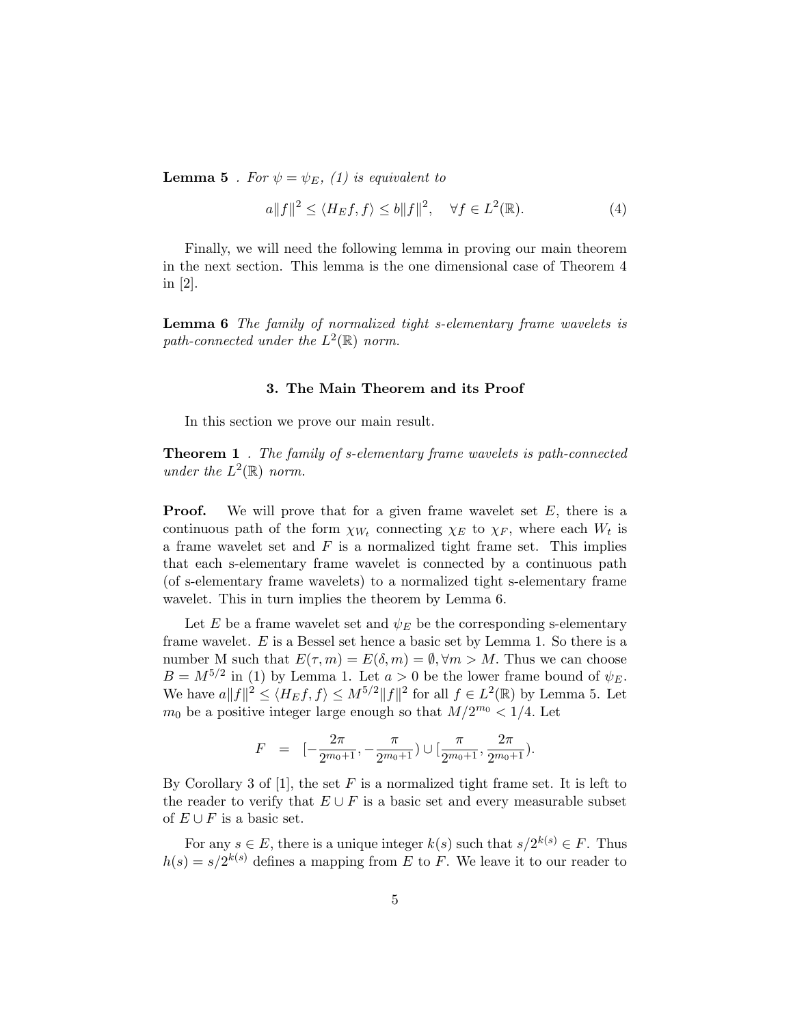**Lemma 5** . For  $\psi = \psi_E$ , (1) is equivalent to

$$
a||f||^2 \le \langle H_E f, f \rangle \le b||f||^2, \quad \forall f \in L^2(\mathbb{R}).\tag{4}
$$

Finally, we will need the following lemma in proving our main theorem in the next section. This lemma is the one dimensional case of Theorem 4 in [2].

Lemma 6 The family of normalized tight s-elementary frame wavelets is path-connected under the  $L^2(\mathbb{R})$  norm.

### 3. The Main Theorem and its Proof

In this section we prove our main result.

**Theorem 1** . The family of s-elementary frame wavelets is path-connected under the  $L^2(\mathbb{R})$  norm.

**Proof.** We will prove that for a given frame wavelet set  $E$ , there is a continuous path of the form  $\chi_{W_t}$  connecting  $\chi_E$  to  $\chi_F$ , where each  $W_t$  is a frame wavelet set and  $F$  is a normalized tight frame set. This implies that each s-elementary frame wavelet is connected by a continuous path (of s-elementary frame wavelets) to a normalized tight s-elementary frame wavelet. This in turn implies the theorem by Lemma 6.

Let E be a frame wavelet set and  $\psi_E$  be the corresponding s-elementary frame wavelet. E is a Bessel set hence a basic set by Lemma 1. So there is a number M such that  $E(\tau, m) = E(\delta, m) = \emptyset$ ,  $\forall m > M$ . Thus we can choose  $B = M^{5/2}$  in (1) by Lemma 1. Let  $a > 0$  be the lower frame bound of  $\psi_E$ . We have  $a||f||^2 \le \langle H_E f, f \rangle \le M^{5/2} ||f||^2$  for all  $f \in L^2(\mathbb{R})$  by Lemma 5. Let  $m_0$  be a positive integer large enough so that  $M/2^{m_0} < 1/4$ . Let

$$
F = [-\frac{2\pi}{2^{m_0+1}}, -\frac{\pi}{2^{m_0+1}}) \cup [\frac{\pi}{2^{m_0+1}}, \frac{2\pi}{2^{m_0+1}}).
$$

By Corollary 3 of [1], the set  $F$  is a normalized tight frame set. It is left to the reader to verify that  $E \cup F$  is a basic set and every measurable subset of  $E \cup F$  is a basic set.

For any  $s \in E$ , there is a unique integer  $k(s)$  such that  $s/2^{k(s)} \in F$ . Thus  $h(s) = s/2^{k(s)}$  defines a mapping from E to F. We leave it to our reader to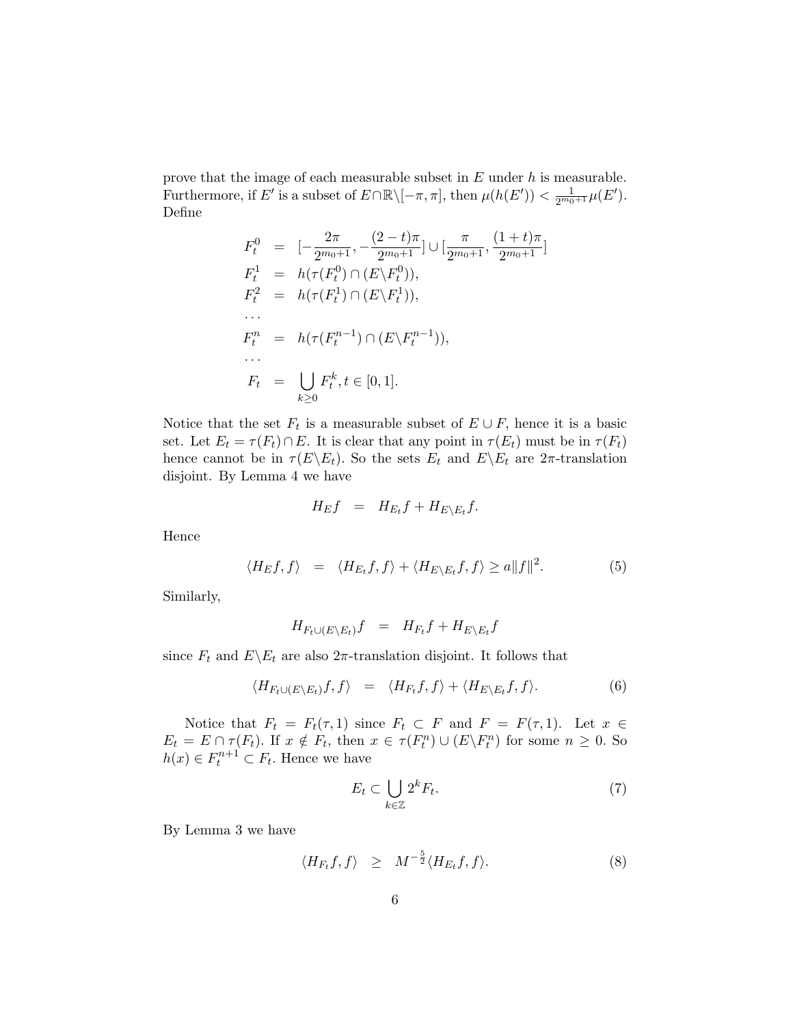prove that the image of each measurable subset in  $E$  under  $h$  is measurable. Furthermore, if E' is a subset of  $E \cap \mathbb{R} \setminus [-\pi, \pi]$ , then  $\mu(h(E')) < \frac{1}{2^{m_0+1}} \mu(E')$ . Define

$$
F_t^0 = [-\frac{2\pi}{2^{m_0+1}}, -\frac{(2-t)\pi}{2^{m_0+1}}] \cup [\frac{\pi}{2^{m_0+1}}, \frac{(1+t)\pi}{2^{m_0+1}}]
$$
  
\n
$$
F_t^1 = h(\tau(F_t^0) \cap (E \setminus F_t^0)),
$$
  
\n
$$
F_t^2 = h(\tau(F_t^1) \cap (E \setminus F_t^1)),
$$
  
\n...  
\n
$$
F_t^n = h(\tau(F_t^{n-1}) \cap (E \setminus F_t^{n-1})),
$$
  
\n...  
\n
$$
F_t = \bigcup_{k \ge 0} F_t^k, t \in [0, 1].
$$

Notice that the set  $F_t$  is a measurable subset of  $E \cup F$ , hence it is a basic set. Let  $E_t = \tau(F_t) \cap E$ . It is clear that any point in  $\tau(E_t)$  must be in  $\tau(F_t)$ hence cannot be in  $\tau(E \backslash E_t)$ . So the sets  $E_t$  and  $E \backslash E_t$  are  $2\pi$ -translation disjoint. By Lemma 4 we have

$$
H_E f = H_{E_t} f + H_{E \setminus E_t} f.
$$

Hence

$$
\langle H_E f, f \rangle = \langle H_{E_t} f, f \rangle + \langle H_{E \setminus E_t} f, f \rangle \ge a \|f\|^2. \tag{5}
$$

Similarly,

$$
H_{F_t \cup (E \setminus E_t)} f = H_{F_t} f + H_{E \setminus E_t} f
$$

since  $F_t$  and  $E\setminus E_t$  are also  $2\pi$ -translation disjoint. It follows that

$$
\langle H_{F_t \cup (E \setminus E_t)} f, f \rangle = \langle H_{F_t} f, f \rangle + \langle H_{E \setminus E_t} f, f \rangle. \tag{6}
$$

Notice that  $F_t = F_t(\tau, 1)$  since  $F_t \subset F$  and  $F = F(\tau, 1)$ . Let  $x \in$  $E_t = E \cap \tau(F_t)$ . If  $x \notin F_t$ , then  $x \in \tau(F_t^n) \cup (E \backslash F_t^n)$  for some  $n \geq 0$ . So  $h(x) \in F_t^{n+1} \subset F_t$ . Hence we have

$$
E_t \subset \bigcup_{k \in \mathbb{Z}} 2^k F_t. \tag{7}
$$

By Lemma 3 we have

$$
\langle H_{F_t}f, f \rangle \geq M^{-\frac{5}{2}} \langle H_{E_t}f, f \rangle. \tag{8}
$$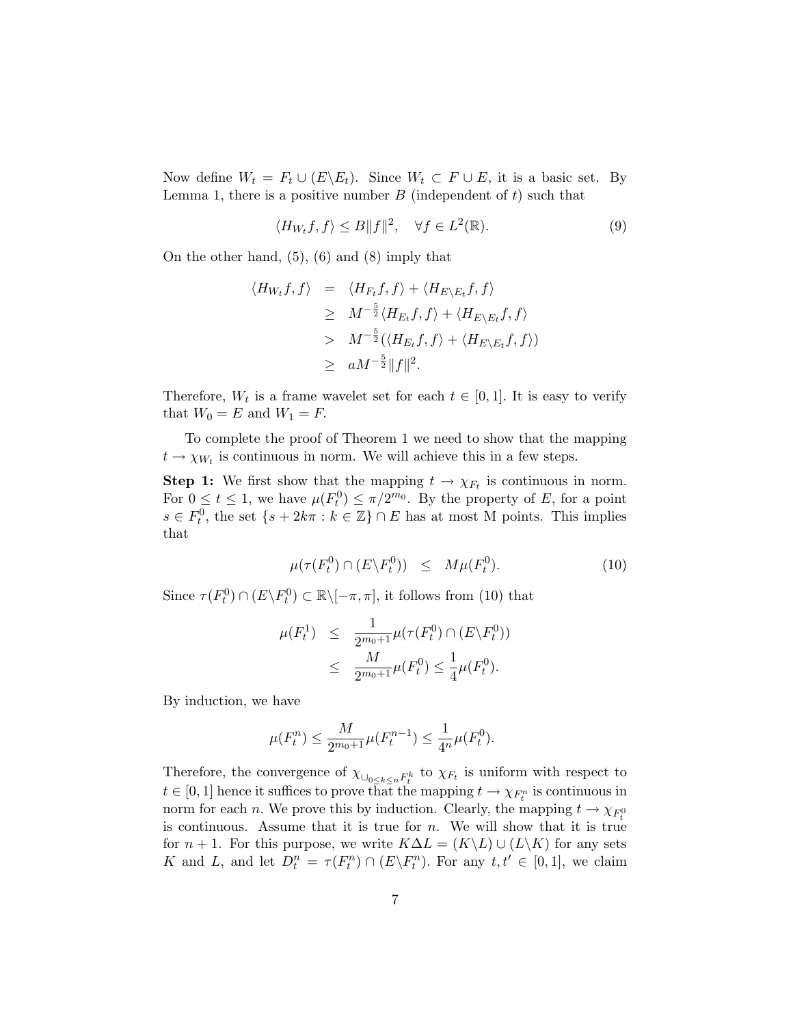Now define  $W_t = F_t \cup (E \backslash E_t)$ . Since  $W_t \subset F \cup E$ , it is a basic set. By Lemma 1, there is a positive number  $B$  (independent of  $t$ ) such that

$$
\langle H_{W_t}f, f \rangle \le B \|f\|^2, \quad \forall f \in L^2(\mathbb{R}). \tag{9}
$$

On the other hand, (5), (6) and (8) imply that

$$
\langle H_{W_t}f, f \rangle = \langle H_{F_t}f, f \rangle + \langle H_{E \setminus E_t}f, f \rangle
$$
  
\n
$$
\geq M^{-\frac{5}{2}} \langle H_{E_t}f, f \rangle + \langle H_{E \setminus E_t}f, f \rangle
$$
  
\n
$$
> M^{-\frac{5}{2}} (\langle H_{E_t}f, f \rangle + \langle H_{E \setminus E_t}f, f \rangle)
$$
  
\n
$$
\geq aM^{-\frac{5}{2}} \|f\|^2.
$$

Therefore,  $W_t$  is a frame wavelet set for each  $t \in [0,1]$ . It is easy to verify that  $W_0 = E$  and  $W_1 = F$ .

To complete the proof of Theorem 1 we need to show that the mapping  $t \to \chi_{W_t}$  is continuous in norm. We will achieve this in a few steps.

**Step 1:** We first show that the mapping  $t \to \chi_{F_t}$  is continuous in norm. For  $0 \le t \le 1$ , we have  $\mu(F_t^0) \le \pi/2^{m_0}$ . By the property of E, for a point  $s \in F_t^0$ , the set  $\{s + 2k\pi : k \in \mathbb{Z}\} \cap E$  has at most M points. This implies that

$$
\mu(\tau(F_t^0) \cap (E \backslash F_t^0)) \leq M\mu(F_t^0). \tag{10}
$$

Since  $\tau(F_t^0) \cap (E \backslash F_t^0) \subset \mathbb{R} \backslash [-\pi, \pi]$ , it follows from (10) that

$$
\mu(F_t^1) \leq \frac{1}{2^{m_0+1}} \mu(\tau(F_t^0) \cap (E \backslash F_t^0))
$$
  
 
$$
\leq \frac{M}{2^{m_0+1}} \mu(F_t^0) \leq \frac{1}{4} \mu(F_t^0).
$$

By induction, we have

$$
\mu(F_t^n) \le \frac{M}{2^{m_0+1}} \mu(F_t^{n-1}) \le \frac{1}{4^n} \mu(F_t^0).
$$

Therefore, the convergence of  $\chi_{\bigcup_{0\leq k\leq n}F_t^k}$  to  $\chi_{F_t}$  is uniform with respect to  $t \in [0,1]$  hence it suffices to prove that the mapping  $t \to \chi_{F_t^n}$  is continuous in norm for each *n*. We prove this by induction. Clearly, the mapping  $t \to \chi_{F_t^0}$ is continuous. Assume that it is true for *n*. We will show that it is true for  $n + 1$ . For this purpose, we write  $K\Delta L = (K\backslash L) \cup (L\backslash K)$  for any sets K and L, and let  $D_t^n = \tau(F_t^n) \cap (E \backslash F_t^n)$ . For any  $t, t' \in [0, 1]$ , we claim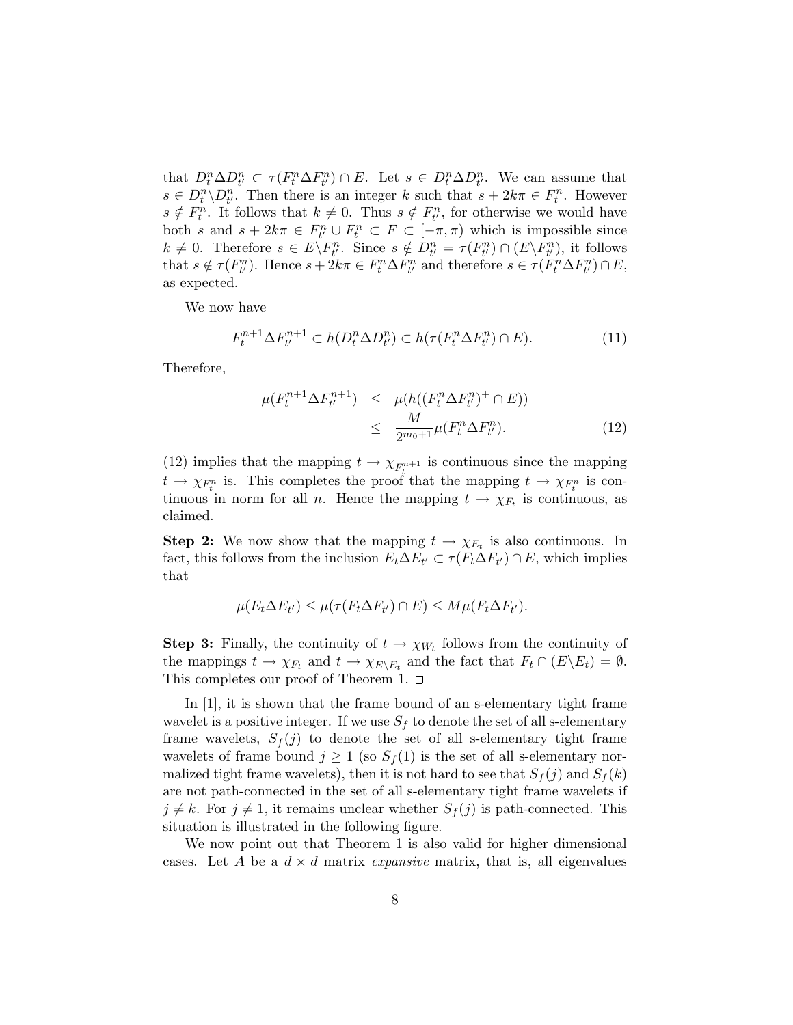that  $D_t^n \Delta D_{t'}^n \subset \tau(F_t^n \Delta F_{t'}^n) \cap E$ . Let  $s \in D_t^n \Delta D_{t'}^n$ . We can assume that  $s \in D_t^n \backslash D_{t'}^n$ . Then there is an integer k such that  $s + 2k\pi \in F_t^n$ . However  $s \notin F_t^n$ . It follows that  $k \neq 0$ . Thus  $s \notin F_{t'}^n$ , for otherwise we would have both s and  $s + 2k\pi \in F_{t'}^n \cup F_t^n \subset F \subset [-\pi, \pi)$  which is impossible since  $k \neq 0$ . Therefore  $s \in E \backslash F_{t'}^n$ . Since  $s \notin D_{t'}^n = \tau(F_{t'}^n) \cap (E \backslash F_{t'}^n)$ , it follows that  $s \notin \tau(F_{t'}^n)$ . Hence  $s + 2k\pi \in F_t^n \Delta F_{t'}^n$  and therefore  $s \in \tau(F_t^n \Delta F_{t'}^n) \cap E$ , as expected.

We now have

$$
F_t^{n+1} \Delta F_{t'}^{n+1} \subset h(D_t^n \Delta D_{t'}^n) \subset h(\tau(F_t^n \Delta F_{t'}^n) \cap E). \tag{11}
$$

Therefore,

$$
\mu(F_t^{n+1} \Delta F_{t'}^{n+1}) \leq \mu(h((F_t^n \Delta F_{t'}^n)^+ \cap E))
$$
  

$$
\leq \frac{M}{2^{m_0+1}} \mu(F_t^n \Delta F_{t'}^n).
$$
 (12)

(12) implies that the mapping  $t \to \chi_{F_{\underline{t}}^{n+1}}$  is continuous since the mapping  $t \to \chi_{F_t^n}$  is. This completes the proof that the mapping  $t \to \chi_{F_t^n}$  is continuous in norm for all *n*. Hence the mapping  $t \to \chi_{F_t}$  is continuous, as claimed.

**Step 2:** We now show that the mapping  $t \to \chi_{E_t}$  is also continuous. In fact, this follows from the inclusion  $E_t \Delta E_{t'} \subset \tau(F_t \Delta F_{t'}) \cap E$ , which implies that

$$
\mu(E_t \Delta E_{t'}) \leq \mu(\tau(F_t \Delta F_{t'}) \cap E) \leq M \mu(F_t \Delta F_{t'}).
$$

**Step 3:** Finally, the continuity of  $t \to \chi_{W_t}$  follows from the continuity of the mappings  $t \to \chi_{F_t}$  and  $t \to \chi_{E \setminus E_t}$  and the fact that  $F_t \cap (E \setminus E_t) = \emptyset$ . This completes our proof of Theorem 1.  $\Box$ 

In [1], it is shown that the frame bound of an s-elementary tight frame wavelet is a positive integer. If we use  $S_f$  to denote the set of all s-elementary frame wavelets,  $S_f(j)$  to denote the set of all s-elementary tight frame wavelets of frame bound  $j \geq 1$  (so  $S_f(1)$  is the set of all s-elementary normalized tight frame wavelets), then it is not hard to see that  $S_f(j)$  and  $S_f(k)$ are not path-connected in the set of all s-elementary tight frame wavelets if  $j \neq k$ . For  $j \neq 1$ , it remains unclear whether  $S_f(j)$  is path-connected. This situation is illustrated in the following figure.

We now point out that Theorem 1 is also valid for higher dimensional cases. Let A be a  $d \times d$  matrix *expansive* matrix, that is, all eigenvalues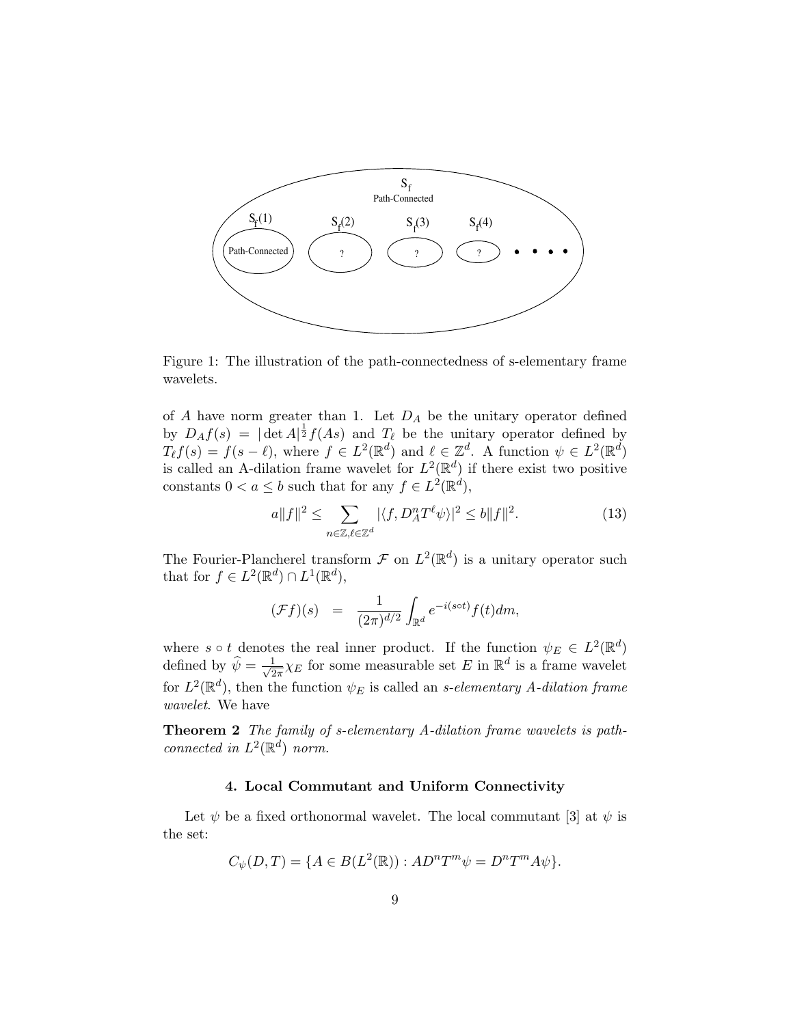

Figure 1: The illustration of the path-connectedness of s-elementary frame wavelets.

of  $A$  have norm greater than 1. Let  $D_A$  be the unitary operator defined by  $D_A f(s) = |\det A|^{\frac{1}{2}} f(As)$  and  $T_\ell$  be the unitary operator defined by  $T_{\ell}f(s) = f(s - \ell)$ , where  $f \in L^2(\mathbb{R}^d)$  and  $\ell \in \mathbb{Z}^d$ . A function  $\psi \in L^2(\mathbb{R}^d)$ is called an A-dilation frame wavelet for  $L^2(\mathbb{R}^d)$  if there exist two positive constants  $0 < a \leq b$  such that for any  $f \in L^2(\mathbb{R}^d)$ ,

$$
a||f||^2 \le \sum_{n \in \mathbb{Z}, \ell \in \mathbb{Z}^d} |\langle f, D_A^n T^\ell \psi \rangle|^2 \le b||f||^2. \tag{13}
$$

The Fourier-Plancherel transform  $\mathcal F$  on  $L^2(\mathbb{R}^d)$  is a unitary operator such that for  $f \in L^2(\mathbb{R}^d) \cap L^1(\mathbb{R}^d)$ ,

$$
(\mathcal{F}f)(s) = \frac{1}{(2\pi)^{d/2}} \int_{\mathbb{R}^d} e^{-i(s\circ t)} f(t) dm,
$$

where  $s \circ t$  denotes the real inner product. If the function  $\psi_E \in L^2(\mathbb{R}^d)$ defined by  $\widehat{\psi} = \frac{1}{\sqrt{2}}$  $\frac{1}{2\pi}\chi_E$  for some measurable set E in  $\mathbb{R}^d$  is a frame wavelet for  $L^2(\mathbb{R}^d)$ , then the function  $\psi_E$  is called an *s*-elementary *A*-dilation frame wavelet. We have

Theorem 2 The family of s-elementary A-dilation frame wavelets is pathconnected in  $L^2(\mathbb{R}^d)$  norm.

## 4. Local Commutant and Uniform Connectivity

Let  $\psi$  be a fixed orthonormal wavelet. The local commutant [3] at  $\psi$  is the set:

$$
C_{\psi}(D,T) = \{ A \in B(L^{2}(\mathbb{R})) : AD^{n}T^{m}\psi = D^{n}T^{m}A\psi \}.
$$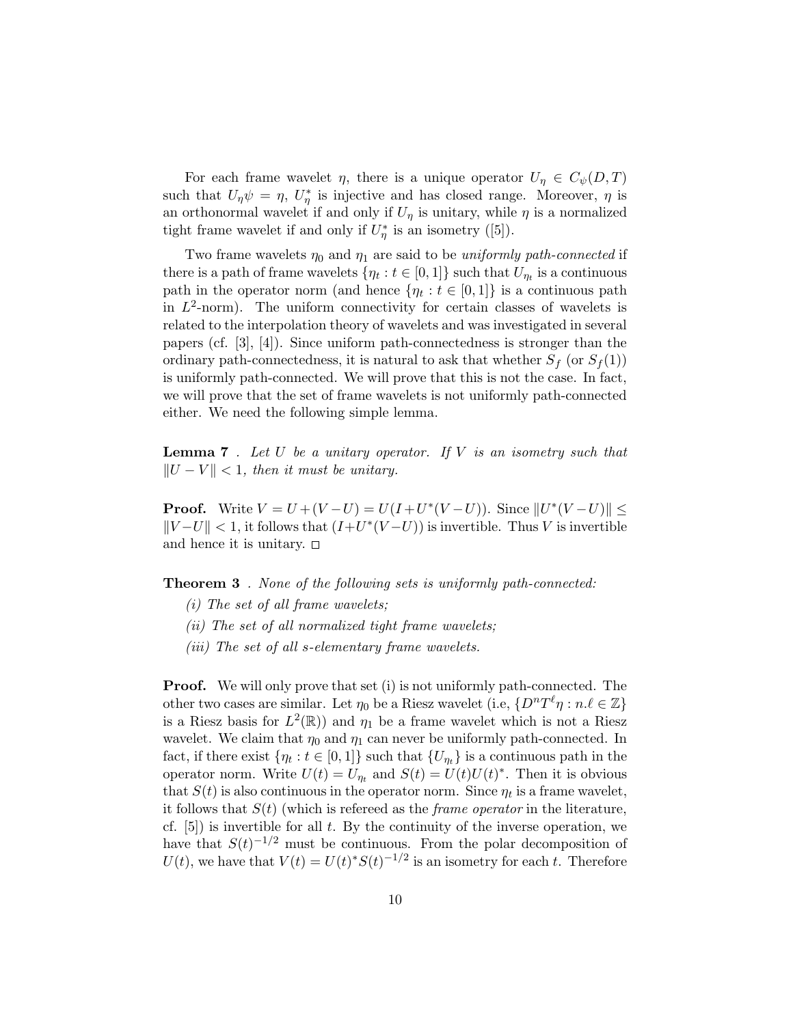For each frame wavelet  $\eta$ , there is a unique operator  $U_{\eta} \in C_{\psi}(D, T)$ such that  $U_{\eta}\psi = \eta$ ,  $U_{\eta}^*$  is injective and has closed range. Moreover,  $\eta$  is an orthonormal wavelet if and only if  $U_{\eta}$  is unitary, while  $\eta$  is a normalized tight frame wavelet if and only if  $U^*_{\eta}$  is an isometry ([5]).

Two frame wavelets  $\eta_0$  and  $\eta_1$  are said to be uniformly path-connected if there is a path of frame wavelets  $\{\eta_t : t \in [0,1]\}$  such that  $U_{\eta_t}$  is a continuous path in the operator norm (and hence  $\{\eta_t : t \in [0,1]\}$  is a continuous path in  $L^2$ -norm). The uniform connectivity for certain classes of wavelets is related to the interpolation theory of wavelets and was investigated in several papers (cf.  $[3], [4]$ ). Since uniform path-connectedness is stronger than the ordinary path-connectedness, it is natural to ask that whether  $S_f$  (or  $S_f(1)$ ) is uniformly path-connected. We will prove that this is not the case. In fact, we will prove that the set of frame wavelets is not uniformly path-connected either. We need the following simple lemma.

**Lemma 7**. Let  $U$  be a unitary operator. If  $V$  is an isometry such that  $||U - V|| < 1$ , then it must be unitary.

**Proof.** Write  $V = U + (V - U) = U(I + U^*(V - U))$ . Since  $||U^*(V - U)|| \le$  $||V-U|| < 1$ , it follows that  $(I+U^*(V-U))$  is invertible. Thus V is invertible and hence it is unitary.  $\square$ 

**Theorem 3**. None of the following sets is uniformly path-connected:

- (i) The set of all frame wavelets;
- $(ii)$  The set of all normalized tight frame wavelets;
- (*iii*) The set of all s-elementary frame wavelets.

Proof. We will only prove that set (i) is not uniformly path-connected. The other two cases are similar. Let  $\eta_0$  be a Riesz wavelet (i.e,  $\{D^nT^\ell\eta : n.\ell \in \mathbb{Z}\}\$ is a Riesz basis for  $L^2(\mathbb{R})$  and  $\eta_1$  be a frame wavelet which is not a Riesz wavelet. We claim that  $\eta_0$  and  $\eta_1$  can never be uniformly path-connected. In fact, if there exist  $\{\eta_t : t \in [0,1]\}$  such that  $\{U_{\eta_t}\}\$ is a continuous path in the operator norm. Write  $U(t) = U_{\eta_t}$  and  $S(t) = U(t)U(t)^*$ . Then it is obvious that  $S(t)$  is also continuous in the operator norm. Since  $\eta_t$  is a frame wavelet, it follows that  $S(t)$  (which is referred as the *frame operator* in the literature, cf.  $[5]$ ) is invertible for all t. By the continuity of the inverse operation, we have that  $S(t)^{-1/2}$  must be continuous. From the polar decomposition of  $U(t)$ , we have that  $V(t) = U(t)^* S(t)^{-1/2}$  is an isometry for each t. Therefore